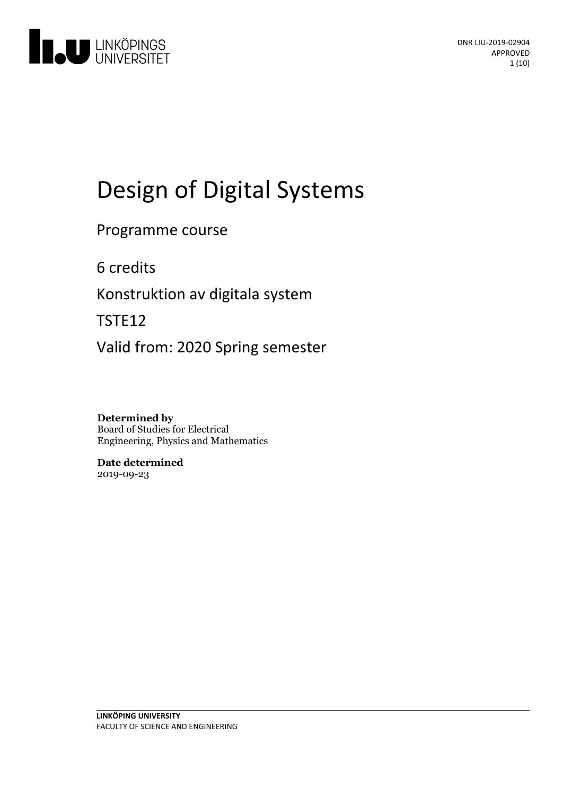

# Design of Digital Systems

### Programme course

6 credits

Konstruktion av digitala system

TSTE12

Valid from: 2020 Spring semester

**Determined by** Board of Studies for Electrical Engineering, Physics and Mathematics

**Date determined** 2019-09-23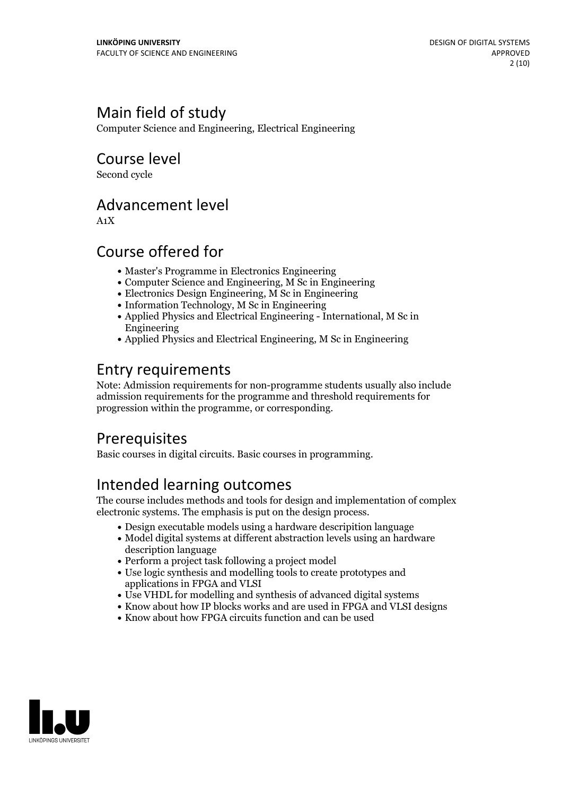# Main field of study

Computer Science and Engineering, Electrical Engineering

Course level

Second cycle

### Advancement level

A1X

## Course offered for

- Master's Programme in Electronics Engineering
- Computer Science and Engineering, M Sc in Engineering
- Electronics Design Engineering, M Sc in Engineering
- Information Technology, M Sc in Engineering
- Applied Physics and Electrical Engineering International, M Sc in Engineering
- Applied Physics and Electrical Engineering, M Sc in Engineering

# Entry requirements

Note: Admission requirements for non-programme students usually also include admission requirements for the programme and threshold requirements for progression within the programme, or corresponding.

### **Prerequisites**

Basic courses in digital circuits. Basic courses in programming.

# Intended learning outcomes

The course includes methods and tools for design and implementation of complex electronic systems. The emphasis is put on the design process.

- Design executable models using a hardware descripition language
- Model digital systems at different abstraction levels using an hardware description language
- Perform a project task following a project model
- Use logic synthesis and modelling tools to create prototypes and applications in FPGA and VLSI
- Use VHDL for modelling and synthesis of advanced digital systems
- Know about how IP blocks works and are used in FPGA and VLSI designs
- Know about how FPGA circuits function and can be used

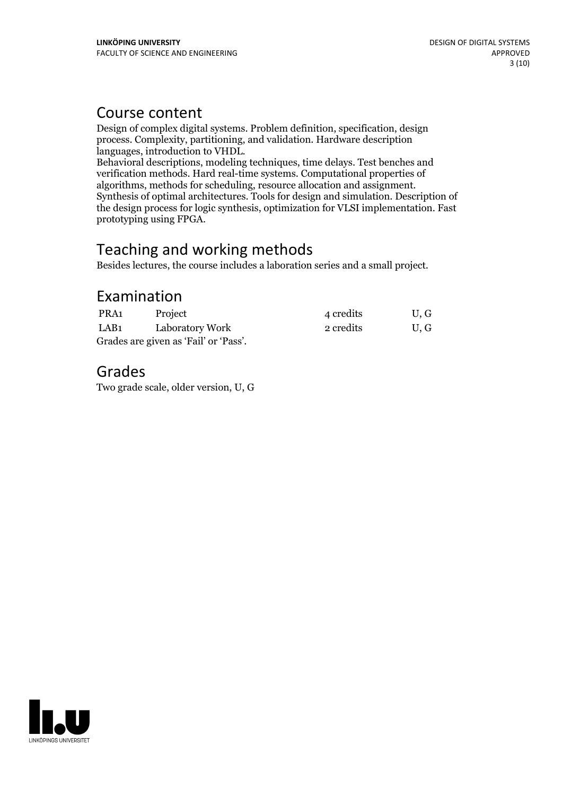### Course content

Design of complex digital systems. Problem definition, specification, design process. Complexity, partitioning, and validation. Hardware description

Behavioral descriptions, modeling techniques, time delays. Test benches and verification methods. Hard real-time systems. Computational properties of Synthesis of optimal architectures. Tools for design and simulation. Description of the design process for logic synthesis, optimization for VLSI implementation. Fast prototyping using FPGA.

## Teaching and working methods

Besides lectures, the course includes a laboration series and a small project.

### Examination

| PRA1                                  | Project         | 4 credits | U, G |
|---------------------------------------|-----------------|-----------|------|
| LAB1                                  | Laboratory Work | 2 credits | U.G  |
| Grades are given as 'Fail' or 'Pass'. |                 |           |      |

## Grades

Two grade scale, older version, U, G

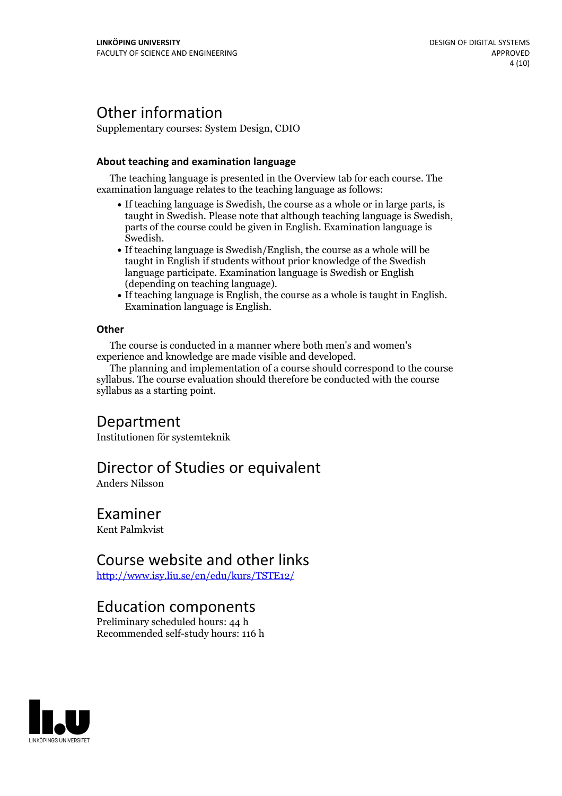# Other information

Supplementary courses: System Design, CDIO

#### **About teaching and examination language**

The teaching language is presented in the Overview tab for each course. The examination language relates to the teaching language as follows:

- If teaching language is Swedish, the course as a whole or in large parts, is taught in Swedish. Please note that although teaching language is Swedish, parts of the course could be given in English. Examination language is Swedish.<br>• If teaching language is Swedish/English, the course as a whole will be
- taught in English if students without prior knowledge of the Swedish language participate. Examination language is Swedish or English
- $\bullet$  If teaching language is English, the course as a whole is taught in English. Examination language is English.

#### **Other**

The course is conducted in a manner where both men's and women's

The planning and implementation of a course should correspond to the course syllabus. The course evaluation should therefore be conducted with the course syllabus as a starting point.

### Department

Institutionen för systemteknik

### Director of Studies or equivalent

Anders Nilsson

### Examiner

Kent Palmkvist

### Course website and other links

<http://www.isy.liu.se/en/edu/kurs/TSTE12/>

### Education components

Preliminary scheduled hours: 44 h Recommended self-study hours: 116 h

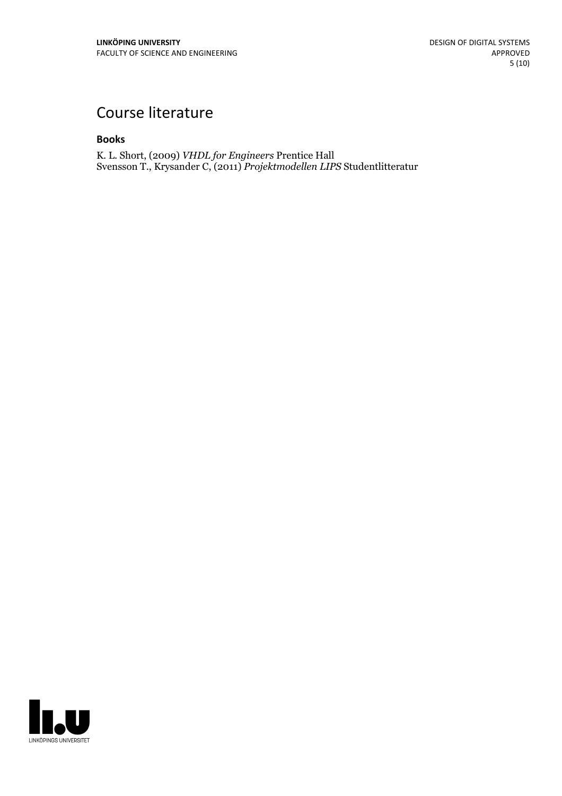# Course literature

#### **Books**

K. L. Short, (2009) *VHDL for Engineers* Prentice Hall Svensson T., Krysander C, (2011) *Projektmodellen LIPS* Studentlitteratur

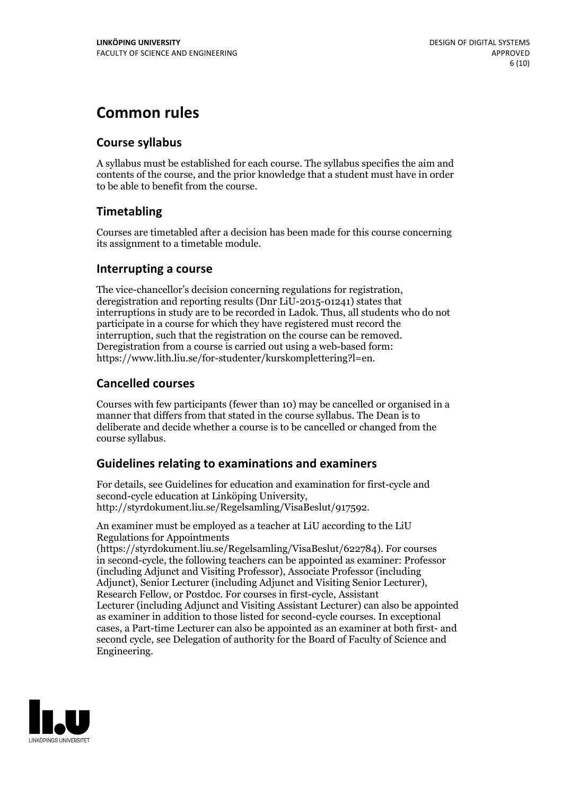# **Common rules**

### **Course syllabus**

A syllabus must be established for each course. The syllabus specifies the aim and contents of the course, and the prior knowledge that a student must have in order to be able to benefit from the course.

### **Timetabling**

Courses are timetabled after a decision has been made for this course concerning its assignment to a timetable module.

### **Interrupting a course**

The vice-chancellor's decision concerning regulations for registration, deregistration and reporting results (Dnr LiU-2015-01241) states that interruptions in study are to be recorded in Ladok. Thus, all students who do not participate in a course for which they have registered must record the interruption, such that the registration on the course can be removed. Deregistration from <sup>a</sup> course is carried outusing <sup>a</sup> web-based form: https://www.lith.liu.se/for-studenter/kurskomplettering?l=en.

### **Cancelled courses**

Courses with few participants (fewer than 10) may be cancelled or organised in a manner that differs from that stated in the course syllabus. The Dean is to deliberate and decide whether a course is to be cancelled or changed from the course syllabus.

### **Guidelines relatingto examinations and examiners**

For details, see Guidelines for education and examination for first-cycle and second-cycle education at Linköping University, http://styrdokument.liu.se/Regelsamling/VisaBeslut/917592.

An examiner must be employed as a teacher at LiU according to the LiU Regulations for Appointments

(https://styrdokument.liu.se/Regelsamling/VisaBeslut/622784). For courses in second-cycle, the following teachers can be appointed as examiner: Professor (including Adjunct and Visiting Professor), Associate Professor (including Adjunct), Senior Lecturer (including Adjunct and Visiting Senior Lecturer), Research Fellow, or Postdoc. For courses in first-cycle, Assistant Lecturer (including Adjunct and Visiting Assistant Lecturer) can also be appointed as examiner in addition to those listed for second-cycle courses. In exceptional cases, a Part-time Lecturer can also be appointed as an examiner at both first- and second cycle, see Delegation of authority for the Board of Faculty of Science and Engineering.

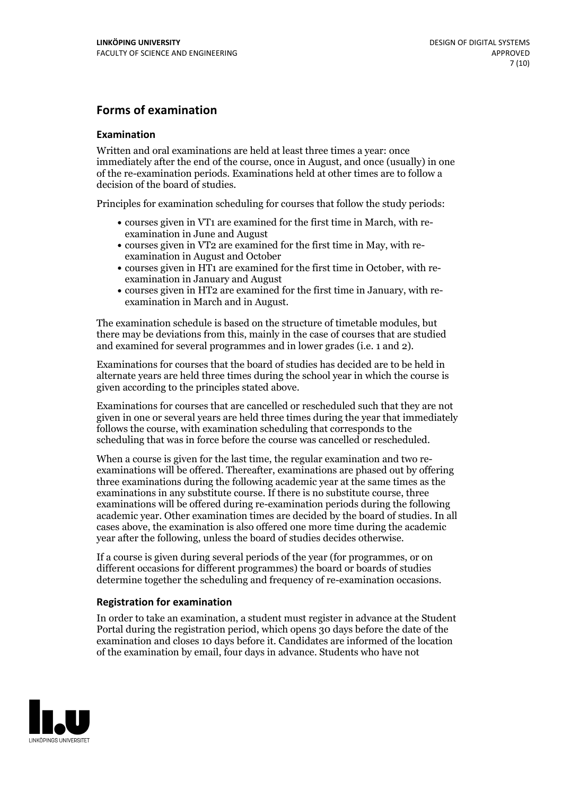### **Forms of examination**

#### **Examination**

Written and oral examinations are held at least three times a year: once immediately after the end of the course, once in August, and once (usually) in one of the re-examination periods. Examinations held at other times are to follow a decision of the board of studies.

Principles for examination scheduling for courses that follow the study periods:

- courses given in VT1 are examined for the first time in March, with re-examination in June and August
- courses given in VT2 are examined for the first time in May, with re-examination in August and October
- courses given in HT1 are examined for the first time in October, with re-examination in January and August
- courses given in HT2 are examined for the first time in January, with re-examination in March and in August.

The examination schedule is based on the structure of timetable modules, but there may be deviations from this, mainly in the case of courses that are studied and examined for several programmes and in lower grades (i.e. 1 and 2).

Examinations for courses that the board of studies has decided are to be held in alternate years are held three times during the school year in which the course is given according to the principles stated above.

Examinations for courses that are cancelled orrescheduled such that they are not given in one or several years are held three times during the year that immediately follows the course, with examination scheduling that corresponds to the scheduling that was in force before the course was cancelled or rescheduled.

When a course is given for the last time, the regular examination and two re-<br>examinations will be offered. Thereafter, examinations are phased out by offering three examinations during the following academic year at the same times as the examinations in any substitute course. If there is no substitute course, three examinations will be offered during re-examination periods during the following academic year. Other examination times are decided by the board of studies. In all cases above, the examination is also offered one more time during the academic year after the following, unless the board of studies decides otherwise.

If a course is given during several periods of the year (for programmes, or on different occasions for different programmes) the board or boards of studies determine together the scheduling and frequency of re-examination occasions.

#### **Registration for examination**

In order to take an examination, a student must register in advance at the Student Portal during the registration period, which opens 30 days before the date of the examination and closes 10 days before it. Candidates are informed of the location of the examination by email, four days in advance. Students who have not

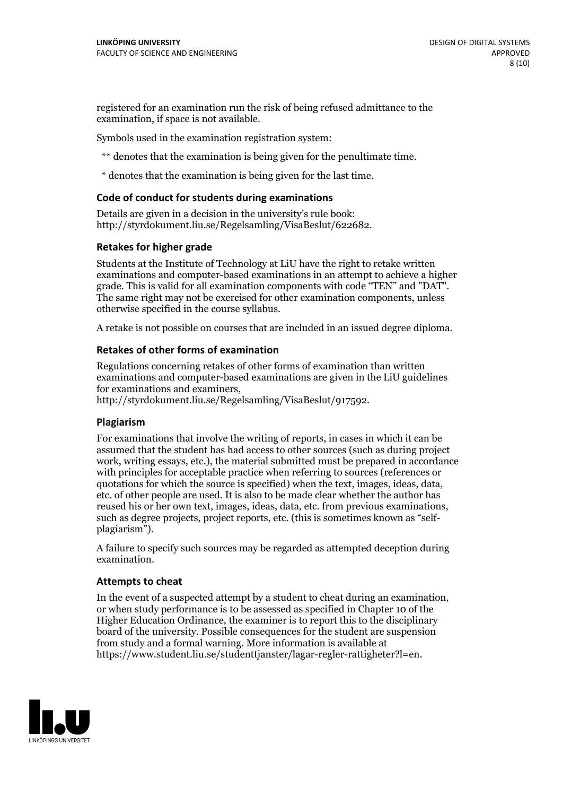registered for an examination run the risk of being refused admittance to the examination, if space is not available.

Symbols used in the examination registration system:

\*\* denotes that the examination is being given for the penultimate time.

\* denotes that the examination is being given for the last time.

#### **Code of conduct for students during examinations**

Details are given in a decision in the university's rule book: http://styrdokument.liu.se/Regelsamling/VisaBeslut/622682.

#### **Retakes for higher grade**

Students at the Institute of Technology at LiU have the right to retake written examinations and computer-based examinations in an attempt to achieve a higher grade. This is valid for all examination components with code "TEN" and "DAT". The same right may not be exercised for other examination components, unless otherwise specified in the course syllabus.

A retake is not possible on courses that are included in an issued degree diploma.

#### **Retakes of other forms of examination**

Regulations concerning retakes of other forms of examination than written examinations and computer-based examinations are given in the LiU guidelines

http://styrdokument.liu.se/Regelsamling/VisaBeslut/917592.

#### **Plagiarism**

For examinations that involve the writing of reports, in cases in which it can be assumed that the student has had access to other sources (such as during project work, writing essays, etc.), the material submitted must be prepared in accordance with principles for acceptable practice when referring to sources (references or quotations for which the source is specified) when the text, images, ideas, data,  $\vec{e}$  etc. of other people are used. It is also to be made clear whether the author has reused his or her own text, images, ideas, data, etc. from previous examinations, such as degree projects, project reports, etc. (this is sometimes known as "self- plagiarism").

A failure to specify such sources may be regarded as attempted deception during examination.

#### **Attempts to cheat**

In the event of <sup>a</sup> suspected attempt by <sup>a</sup> student to cheat during an examination, or when study performance is to be assessed as specified in Chapter <sup>10</sup> of the Higher Education Ordinance, the examiner is to report this to the disciplinary board of the university. Possible consequences for the student are suspension from study and a formal warning. More information is available at https://www.student.liu.se/studenttjanster/lagar-regler-rattigheter?l=en.

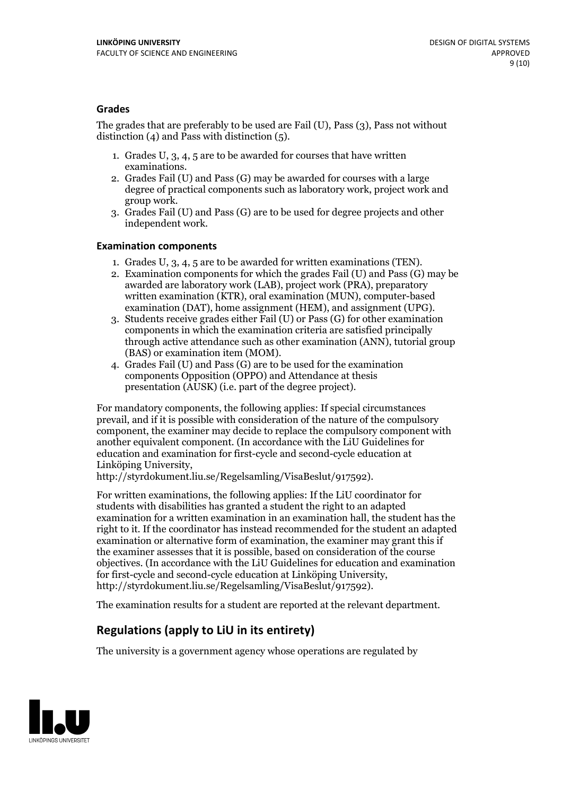#### **Grades**

The grades that are preferably to be used are Fail (U), Pass (3), Pass not without distinction  $(4)$  and Pass with distinction  $(5)$ .

- 1. Grades U, 3, 4, 5 are to be awarded for courses that have written
- examinations. 2. Grades Fail (U) and Pass (G) may be awarded for courses with <sup>a</sup> large degree of practical components such as laboratory work, project work and group work. 3. Grades Fail (U) and Pass (G) are to be used for degree projects and other
- independent work.

#### **Examination components**

- 
- 1. Grades U, 3, 4, <sup>5</sup> are to be awarded for written examinations (TEN). 2. Examination components for which the grades Fail (U) and Pass (G) may be awarded are laboratory work (LAB), project work (PRA), preparatory written examination (KTR), oral examination (MUN), computer-based
- examination (DAT), home assignment (HEM), and assignment (UPG). 3. Students receive grades either Fail (U) or Pass (G) for other examination components in which the examination criteria are satisfied principally through active attendance such as other examination (ANN), tutorial group (BAS) or examination item (MOM). 4. Grades Fail (U) and Pass (G) are to be used for the examination
- components Opposition (OPPO) and Attendance at thesis presentation (AUSK) (i.e. part of the degree project).

For mandatory components, the following applies: If special circumstances prevail, and if it is possible with consideration of the nature of the compulsory component, the examiner may decide to replace the compulsory component with another equivalent component. (In accordance with the LiU Guidelines for education and examination for first-cycle and second-cycle education at Linköping University, http://styrdokument.liu.se/Regelsamling/VisaBeslut/917592).

For written examinations, the following applies: If the LiU coordinator for students with disabilities has granted a student the right to an adapted examination for a written examination in an examination hall, the student has the right to it. If the coordinator has instead recommended for the student an adapted examination or alternative form of examination, the examiner may grant this if the examiner assesses that it is possible, based on consideration of the course objectives. (In accordance with the LiU Guidelines for education and examination for first-cycle and second-cycle education at Linköping University, http://styrdokument.liu.se/Regelsamling/VisaBeslut/917592).

The examination results for a student are reported at the relevant department.

### **Regulations (applyto LiU in its entirety)**

The university is a government agency whose operations are regulated by